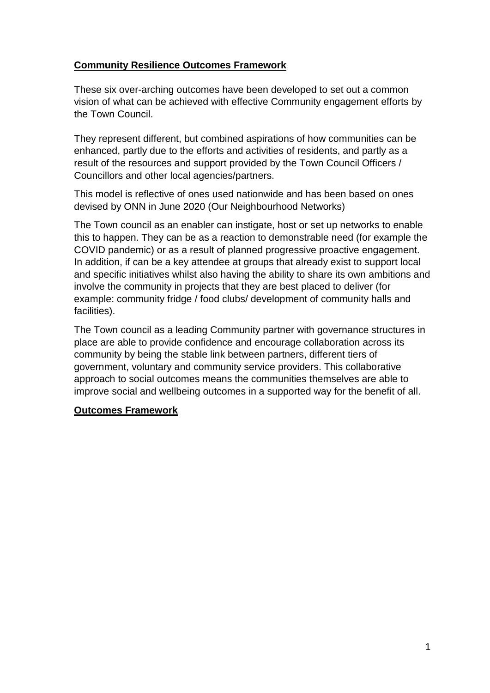## **Community Resilience Outcomes Framework**

These six over-arching outcomes have been developed to set out a common vision of what can be achieved with effective Community engagement efforts by the Town Council.

They represent different, but combined aspirations of how communities can be enhanced, partly due to the efforts and activities of residents, and partly as a result of the resources and support provided by the Town Council Officers / Councillors and other local agencies/partners.

This model is reflective of ones used nationwide and has been based on ones devised by ONN in June 2020 (Our Neighbourhood Networks)

The Town council as an enabler can instigate, host or set up networks to enable this to happen. They can be as a reaction to demonstrable need (for example the COVID pandemic) or as a result of planned progressive proactive engagement. In addition, if can be a key attendee at groups that already exist to support local and specific initiatives whilst also having the ability to share its own ambitions and involve the community in projects that they are best placed to deliver (for example: community fridge / food clubs/ development of community halls and facilities).

The Town council as a leading Community partner with governance structures in place are able to provide confidence and encourage collaboration across its community by being the stable link between partners, different tiers of government, voluntary and community service providers. This collaborative approach to social outcomes means the communities themselves are able to improve social and wellbeing outcomes in a supported way for the benefit of all.

## **Outcomes Framework**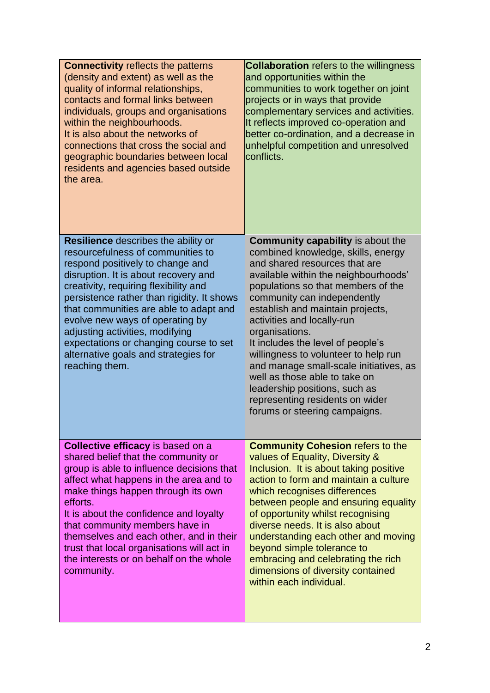| <b>Connectivity reflects the patterns</b><br>(density and extent) as well as the<br>quality of informal relationships,<br>contacts and formal links between<br>individuals, groups and organisations<br>within the neighbourhoods.<br>It is also about the networks of<br>connections that cross the social and<br>geographic boundaries between local<br>residents and agencies based outside<br>the area.                                                            | <b>Collaboration</b> refers to the willingness<br>and opportunities within the<br>communities to work together on joint<br>projects or in ways that provide<br>complementary services and activities.<br>It reflects improved co-operation and<br>better co-ordination, and a decrease in<br>unhelpful competition and unresolved<br>conflicts.                                                                                                                                                                                                                               |
|------------------------------------------------------------------------------------------------------------------------------------------------------------------------------------------------------------------------------------------------------------------------------------------------------------------------------------------------------------------------------------------------------------------------------------------------------------------------|-------------------------------------------------------------------------------------------------------------------------------------------------------------------------------------------------------------------------------------------------------------------------------------------------------------------------------------------------------------------------------------------------------------------------------------------------------------------------------------------------------------------------------------------------------------------------------|
| <b>Resilience</b> describes the ability or<br>resourcefulness of communities to<br>respond positively to change and<br>disruption. It is about recovery and<br>creativity, requiring flexibility and<br>persistence rather than rigidity. It shows<br>that communities are able to adapt and<br>evolve new ways of operating by<br>adjusting activities, modifying<br>expectations or changing course to set<br>alternative goals and strategies for<br>reaching them. | <b>Community capability is about the</b><br>combined knowledge, skills, energy<br>and shared resources that are<br>available within the neighbourhoods'<br>populations so that members of the<br>community can independently<br>establish and maintain projects,<br>activities and locally-run<br>organisations.<br>It includes the level of people's<br>willingness to volunteer to help run<br>and manage small-scale initiatives, as<br>well as those able to take on<br>leadership positions, such as<br>representing residents on wider<br>forums or steering campaigns. |
| <b>Collective efficacy is based on a</b><br>shared belief that the community or<br>group is able to influence decisions that<br>affect what happens in the area and to<br>make things happen through its own<br>efforts.<br>It is about the confidence and loyalty<br>that community members have in<br>themselves and each other, and in their<br>trust that local organisations will act in<br>the interests or on behalf on the whole<br>community.                 | <b>Community Cohesion refers to the</b><br>values of Equality, Diversity &<br>Inclusion. It is about taking positive<br>action to form and maintain a culture<br>which recognises differences<br>between people and ensuring equality<br>of opportunity whilst recognising<br>diverse needs. It is also about<br>understanding each other and moving<br>beyond simple tolerance to<br>embracing and celebrating the rich<br>dimensions of diversity contained<br>within each individual.                                                                                      |